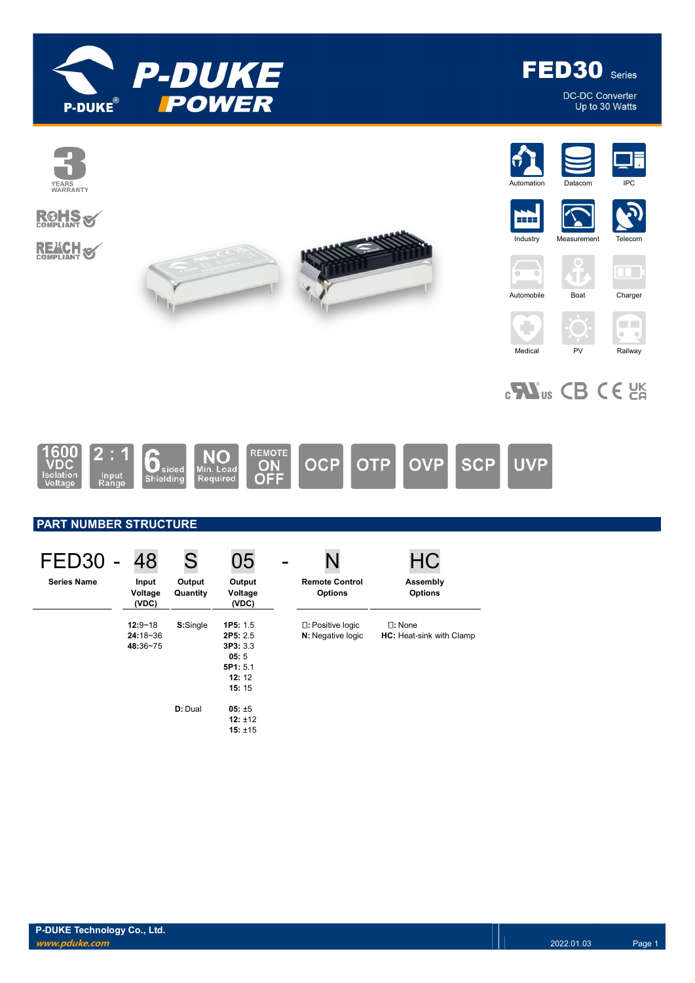

FED30 Series

DC-DC Converter<br>Up to 30 Watts



# $_{c}$   $\mathbf{W}_{us}$  CB CE  $_{CR}$



## PART NUMBER STRUCTURE

| FED30              | 48                                  | S                  | 05                                                                    |                                                 | HC                                           |
|--------------------|-------------------------------------|--------------------|-----------------------------------------------------------------------|-------------------------------------------------|----------------------------------------------|
| <b>Series Name</b> | Input<br>Voltage<br>(VDC)           | Output<br>Quantity | Output<br>Voltage<br>(VDC)                                            | <b>Remote Control</b><br><b>Options</b>         | Assembly<br><b>Options</b>                   |
|                    | $12:9 - 18$<br>24:18~36<br>48:36~75 | S:Single           | 1P5: 1.5<br>2P5: 2.5<br>3P3:3.3<br>05:5<br>5P1: 5.1<br>12:12<br>15:15 | $\square$ : Positive logic<br>N: Negative logic | $\square$ : None<br>HC: Heat-sink with Clamp |
|                    |                                     | D: Dual            | $05: \pm 5$<br>12: $±12$<br>15: $±15$                                 |                                                 |                                              |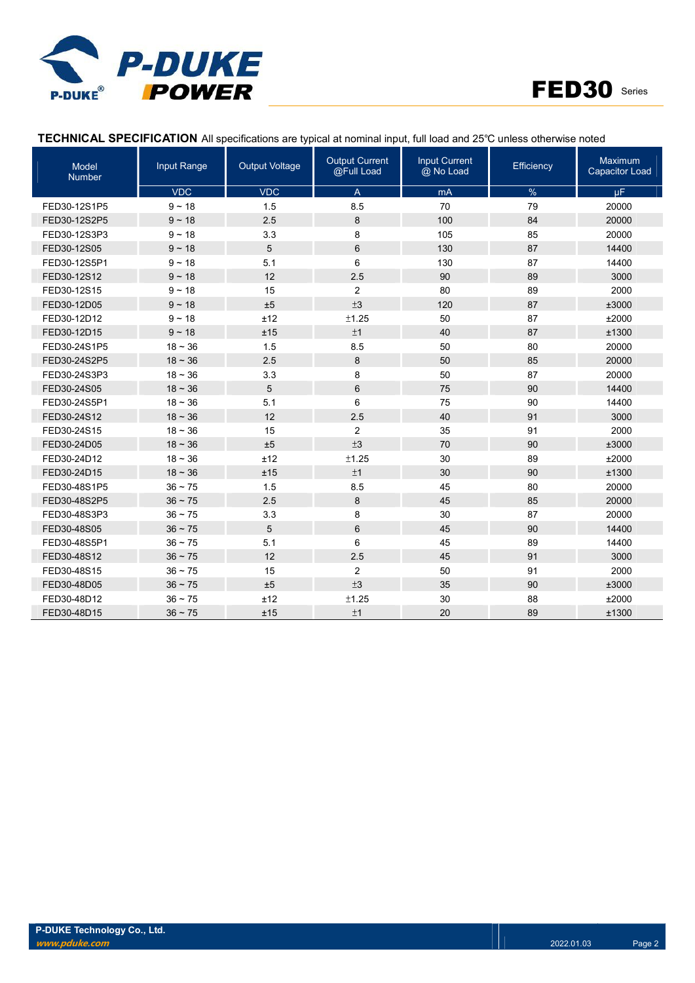



## TECHNICAL SPECIFICATION All specifications are typical at nominal input, full load and 25℃ unless otherwise noted

| Model<br><b>Number</b> | Input Range  | <b>Output Voltage</b> | <b>Output Current</b><br>@Full Load | <b>Input Current</b><br>@ No Load | Efficiency | <b>Maximum</b><br><b>Capacitor Load</b> |
|------------------------|--------------|-----------------------|-------------------------------------|-----------------------------------|------------|-----------------------------------------|
|                        | <b>VDC</b>   | <b>VDC</b>            | $\overline{A}$                      | mA                                | %          | μF.                                     |
| FED30-12S1P5           | $9 - 18$     | 1.5                   | 8.5                                 | 70                                | 79         | 20000                                   |
| FED30-12S2P5           | $9 - 18$     | 2.5                   | 8                                   | 100                               | 84         | 20000                                   |
| FED30-12S3P3           | $9 - 18$     | 3.3                   | 8                                   | 105                               | 85         | 20000                                   |
| FED30-12S05            | $9 - 18$     | 5                     | 6                                   | 130                               | 87         | 14400                                   |
| FED30-12S5P1           | $9 - 18$     | 5.1                   | 6                                   | 130                               | 87         | 14400                                   |
| FED30-12S12            | $9 - 18$     | 12                    | 2.5                                 | 90                                | 89         | 3000                                    |
| FED30-12S15            | $9 - 18$     | 15                    | $\overline{2}$                      | 80                                | 89         | 2000                                    |
| FED30-12D05            | $9 - 18$     | ±5                    | ±3                                  | 120                               | 87         | ±3000                                   |
| FED30-12D12            | $9 - 18$     | ±12                   | ±1.25                               | 50                                | 87         | ±2000                                   |
| FED30-12D15            | $9 - 18$     | ±15                   | ±1                                  | 40                                | 87         | ±1300                                   |
| FED30-24S1P5           | $18 - 36$    | 1.5                   | 8.5                                 | 50                                | 80         | 20000                                   |
| FED30-24S2P5           | $18 - 36$    | 2.5                   | 8                                   | 50                                | 85         | 20000                                   |
| FED30-24S3P3           | $18 - 36$    | 3.3                   | 8                                   | 50                                | 87         | 20000                                   |
| FED30-24S05            | $18 - 36$    | 5                     | 6                                   | 75                                | 90         | 14400                                   |
| FED30-24S5P1           | $18 - 36$    | 5.1                   | 6                                   | 75                                | 90         | 14400                                   |
| FED30-24S12            | $18 - 36$    | 12                    | 2.5                                 | 40                                | 91         | 3000                                    |
| FED30-24S15            | $18 - 36$    | 15                    | $\overline{c}$                      | 35                                | 91         | 2000                                    |
| FED30-24D05            | $18 - 36$    | ±5                    | ±3                                  | 70                                | 90         | ±3000                                   |
| FED30-24D12            | $18 - 36$    | ±12                   | ±1.25                               | 30                                | 89         | ±2000                                   |
| FED30-24D15            | $18 - 36$    | ±15                   | ±1                                  | 30                                | 90         | ±1300                                   |
| FED30-48S1P5           | $36 - 75$    | 1.5                   | 8.5                                 | 45                                | 80         | 20000                                   |
| FED30-48S2P5           | $36 - 75$    | 2.5                   | 8                                   | 45                                | 85         | 20000                                   |
| FED30-48S3P3           | $36 - 75$    | 3.3                   | 8                                   | 30                                | 87         | 20000                                   |
| FED30-48S05            | $36 \sim 75$ | 5                     | 6                                   | 45                                | 90         | 14400                                   |
| FED30-48S5P1           | $36 \sim 75$ | 5.1                   | 6                                   | 45                                | 89         | 14400                                   |
| FED30-48S12            | $36 \sim 75$ | 12                    | 2.5                                 | 45                                | 91         | 3000                                    |
| FED30-48S15            | $36 \sim 75$ | 15                    | $\overline{c}$                      | 50                                | 91         | 2000                                    |
| FED30-48D05            | $36 - 75$    | ±5                    | ±3                                  | 35                                | 90         | ±3000                                   |
| FED30-48D12            | $36 \sim 75$ | ±12                   | ±1.25                               | 30                                | 88         | ±2000                                   |
| FED30-48D15            | $36 - 75$    | ±15                   | ±1                                  | 20                                | 89         | ±1300                                   |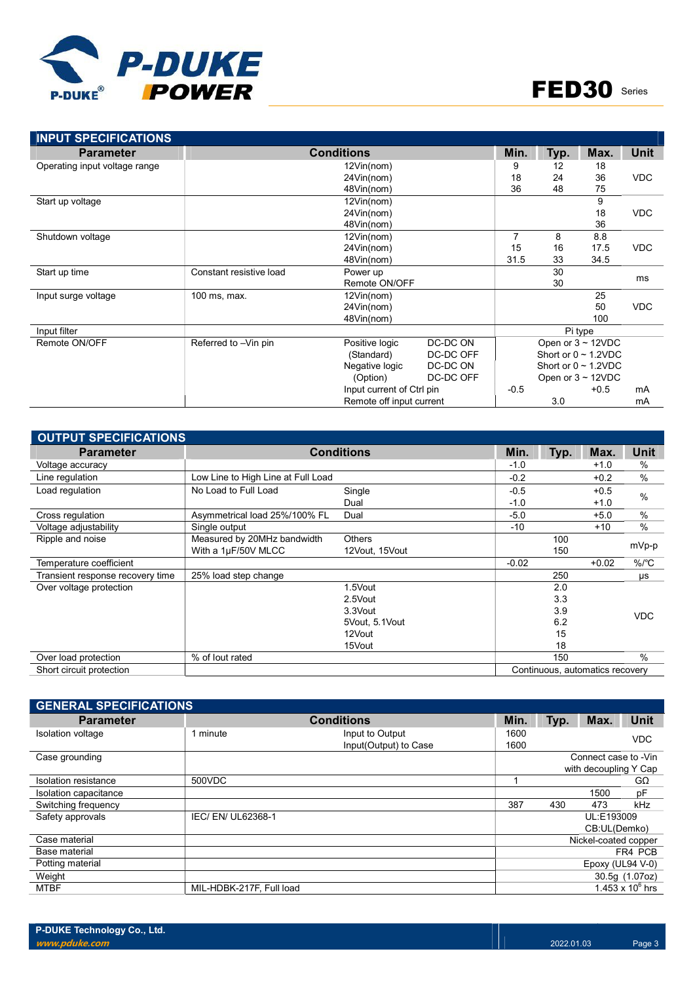

| <b>INPUT SPECIFICATIONS</b>   |                         |                           |           |        |      |                           |             |
|-------------------------------|-------------------------|---------------------------|-----------|--------|------|---------------------------|-------------|
| <b>Parameter</b>              |                         | <b>Conditions</b>         |           | Min.   | Typ. | Max.                      | <b>Unit</b> |
| Operating input voltage range |                         | 12Vin(nom)                |           | 9      | 12   | 18                        |             |
|                               |                         | 24Vin(nom)                |           | 18     | 24   | 36                        | <b>VDC</b>  |
|                               |                         | 48Vin(nom)                |           | 36     | 48   | 75                        |             |
| Start up voltage              |                         | 12Vin(nom)                |           |        |      | 9                         |             |
|                               |                         | 24Vin(nom)                |           |        |      | 18                        | <b>VDC</b>  |
|                               |                         | 48Vin(nom)                |           |        |      | 36                        |             |
| Shutdown voltage              |                         | 12Vin(nom)                |           | 7      | 8    | 8.8                       |             |
|                               |                         | 24Vin(nom)                |           | 15     | 16   | 17.5                      | <b>VDC</b>  |
|                               |                         | 48Vin(nom)                |           | 31.5   | 33   | 34.5                      |             |
| Start up time                 | Constant resistive load | Power up                  |           |        | 30   |                           | ms          |
|                               |                         | Remote ON/OFF             |           |        | 30   |                           |             |
| Input surge voltage           | 100 ms, max.            | 12Vin(nom)                |           |        |      | 25                        |             |
|                               |                         | 24Vin(nom)                |           |        |      | 50                        | <b>VDC</b>  |
|                               |                         | 48Vin(nom)                |           |        |      | 100                       |             |
| Input filter                  |                         |                           |           |        |      | Pi type                   |             |
| Remote ON/OFF                 | Referred to -Vin pin    | Positive logic            | DC-DC ON  |        |      | Open or $3 \sim 12$ VDC   |             |
|                               |                         | (Standard)                | DC-DC OFF |        |      | Short or $0 \sim 1.2$ VDC |             |
|                               |                         | Negative logic            | DC-DC ON  |        |      | Short or $0 \sim 1.2$ VDC |             |
|                               |                         | (Option)                  | DC-DC OFF |        |      | Open or $3 \sim 12$ VDC   |             |
|                               |                         | Input current of Ctrl pin |           | $-0.5$ |      | $+0.5$                    | mA          |
|                               |                         | Remote off input current  |           |        | 3.0  |                           | mA          |

| <b>OUTPUT SPECIFICATIONS</b>     |                                    |                   |         |      |                                 |               |  |
|----------------------------------|------------------------------------|-------------------|---------|------|---------------------------------|---------------|--|
| <b>Parameter</b>                 |                                    | <b>Conditions</b> | Min.    | Typ. | Max.                            | <b>Unit</b>   |  |
| Voltage accuracy                 |                                    |                   | $-1.0$  |      | $+1.0$                          | $\%$          |  |
| Line regulation                  | Low Line to High Line at Full Load |                   | $-0.2$  |      | $+0.2$                          | $\frac{0}{0}$ |  |
| Load regulation                  | No Load to Full Load               | Single            | $-0.5$  |      | $+0.5$                          |               |  |
|                                  |                                    | Dual              | $-1.0$  |      | $+1.0$                          | $\frac{0}{0}$ |  |
| Cross regulation                 | Asymmetrical load 25%/100% FL      | Dual              | $-5.0$  |      | $+5.0$                          | $\frac{0}{0}$ |  |
| Voltage adjustability            | Single output                      |                   | $-10$   |      | $+10$                           | $\frac{0}{0}$ |  |
| Ripple and noise                 | Measured by 20MHz bandwidth        | <b>Others</b>     | 100     |      |                                 |               |  |
|                                  | With a 1µF/50V MLCC                | 12Vout, 15Vout    |         | 150  |                                 | mVp-p         |  |
| Temperature coefficient          |                                    |                   | $-0.02$ |      | $+0.02$                         | $\%$ /°C      |  |
| Transient response recovery time | 25% load step change               |                   |         | 250  |                                 | μs            |  |
| Over voltage protection          |                                    | 1.5Vout           |         | 2.0  |                                 |               |  |
|                                  |                                    | 2.5Vout           |         | 3.3  |                                 |               |  |
|                                  |                                    | 3.3Vout           |         | 3.9  |                                 | <b>VDC</b>    |  |
|                                  |                                    | 5Vout, 5.1Vout    |         | 6.2  |                                 |               |  |
|                                  |                                    | 12Vout            |         | 15   |                                 |               |  |
|                                  |                                    | 15Vout            |         | 18   |                                 |               |  |
| Over load protection             | % of lout rated                    |                   |         | 150  |                                 | $\frac{0}{0}$ |  |
| Short circuit protection         |                                    |                   |         |      | Continuous, automatics recovery |               |  |

| <b>GENERAL SPECIFICATIONS</b> |                          |                                          |              |      |                                               |                    |
|-------------------------------|--------------------------|------------------------------------------|--------------|------|-----------------------------------------------|--------------------|
| <b>Parameter</b>              |                          | Min.                                     | Typ.         | Max. | <b>Unit</b>                                   |                    |
| Isolation voltage             | 1 minute                 | Input to Output<br>Input(Output) to Case | 1600<br>1600 |      |                                               | <b>VDC</b>         |
| Case grounding                |                          |                                          |              |      | Connect case to -Vin<br>with decoupling Y Cap |                    |
| Isolation resistance          | 500VDC                   |                                          |              |      |                                               | $G\Omega$          |
| Isolation capacitance         |                          |                                          |              |      | 1500                                          | рF                 |
| Switching frequency           |                          |                                          | 387          | 430  | 473                                           | kHz                |
| Safety approvals              | IEC/EN/UL62368-1         |                                          |              |      | UL:E193009<br>CB:UL(Demko)                    |                    |
| Case material                 |                          |                                          |              |      | Nickel-coated copper                          |                    |
| Base material                 |                          |                                          |              |      |                                               | FR4 PCB            |
| Potting material              |                          |                                          |              |      | Epoxy (UL94 V-0)                              |                    |
| Weight                        |                          |                                          |              |      |                                               | 30.5g (1.07oz)     |
| <b>MTBF</b>                   | MIL-HDBK-217F, Full load |                                          |              |      |                                               | 1.453 x $10^6$ hrs |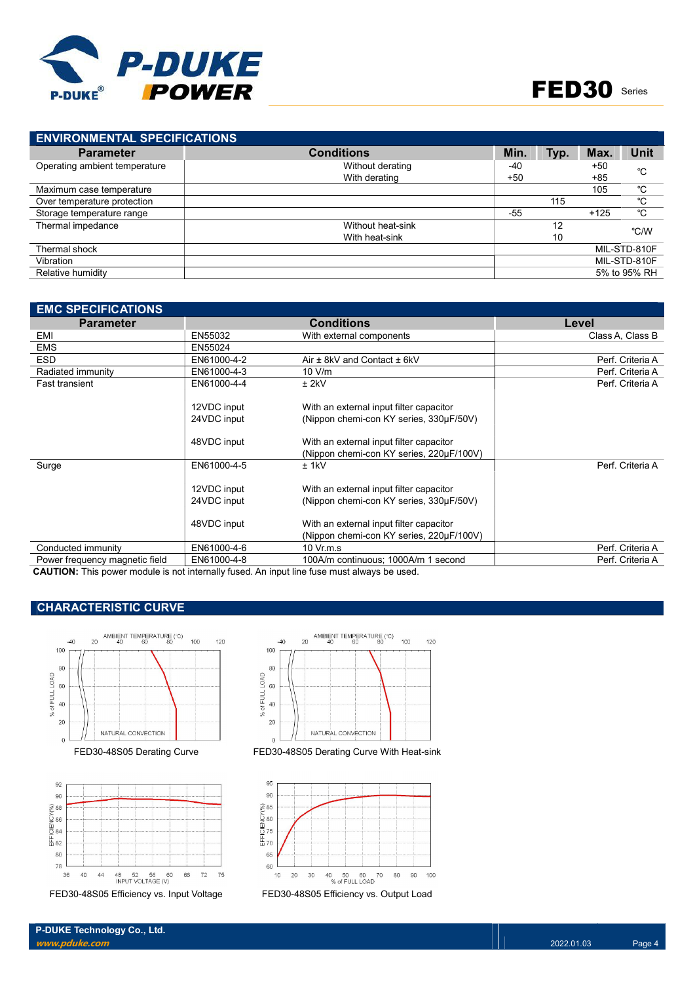

| <b>ENVIRONMENTAL SPECIFICATIONS</b> |                   |       |      |        |              |
|-------------------------------------|-------------------|-------|------|--------|--------------|
| <b>Parameter</b>                    | <b>Conditions</b> | Min.  | Typ. | Max.   | <b>Unit</b>  |
| Operating ambient temperature       | Without derating  | -40   |      | $+50$  | °C           |
|                                     | With derating     | $+50$ |      | $+85$  |              |
| Maximum case temperature            |                   |       |      | 105    | °C           |
| Over temperature protection         |                   |       | 115  |        | °C           |
| Storage temperature range           |                   | $-55$ |      | $+125$ | °C           |
| Thermal impedance                   | Without heat-sink |       | 12   |        | °C/W         |
|                                     | With heat-sink    |       | 10   |        |              |
| Thermal shock                       |                   |       |      |        | MIL-STD-810F |
| Vibration                           |                   |       |      |        | MIL-STD-810F |
| Relative humidity                   |                   |       |      |        | 5% to 95% RH |
|                                     |                   |       |      |        |              |

| <b>EMC SPECIFICATIONS</b>                                                                                     |                            |                                                                                     |                  |
|---------------------------------------------------------------------------------------------------------------|----------------------------|-------------------------------------------------------------------------------------|------------------|
| <b>Parameter</b>                                                                                              |                            | <b>Conditions</b>                                                                   | Level            |
| EMI                                                                                                           | EN55032                    | With external components                                                            | Class A, Class B |
| <b>EMS</b>                                                                                                    | EN55024                    |                                                                                     |                  |
| <b>ESD</b>                                                                                                    | EN61000-4-2                | Air ± 8kV and Contact ± 6kV                                                         | Perf. Criteria A |
| Radiated immunity                                                                                             | EN61000-4-3                | 10 V/m                                                                              | Perf. Criteria A |
| <b>Fast transient</b>                                                                                         | EN61000-4-4                | $±$ 2kV                                                                             | Perf. Criteria A |
|                                                                                                               | 12VDC input                | With an external input filter capacitor                                             |                  |
|                                                                                                               | 24VDC input                | (Nippon chemi-con KY series, 330µF/50V)                                             |                  |
|                                                                                                               | 48VDC input                | With an external input filter capacitor<br>(Nippon chemi-con KY series, 220µF/100V) |                  |
| Surge                                                                                                         | EN61000-4-5                | $±$ 1kV                                                                             | Perf. Criteria A |
|                                                                                                               | 12VDC input<br>24VDC input | With an external input filter capacitor<br>(Nippon chemi-con KY series, 330µF/50V)  |                  |
|                                                                                                               | 48VDC input                | With an external input filter capacitor<br>(Nippon chemi-con KY series, 220µF/100V) |                  |
| Conducted immunity                                                                                            | EN61000-4-6                | 10 Vr.m.s                                                                           | Perf. Criteria A |
| Power frequency magnetic field                                                                                | EN61000-4-8                | 100A/m continuous; 1000A/m 1 second                                                 | Perf. Criteria A |
| A ALITIANI: TRES SERVICIOS SIGNETOS DE LA CARACTERIZA DE LA SERVICIO A RESPONSE DE LA SERVICIO DE LA SERVICIO |                            |                                                                                     |                  |

CAUTION: This power module is not internally fused. An input line fuse must always be used.

## CHARACTERISTIC CURVE





FED30-48S05 Efficiency vs. Input Voltage FED30-48S05 Efficiency vs. Output Load



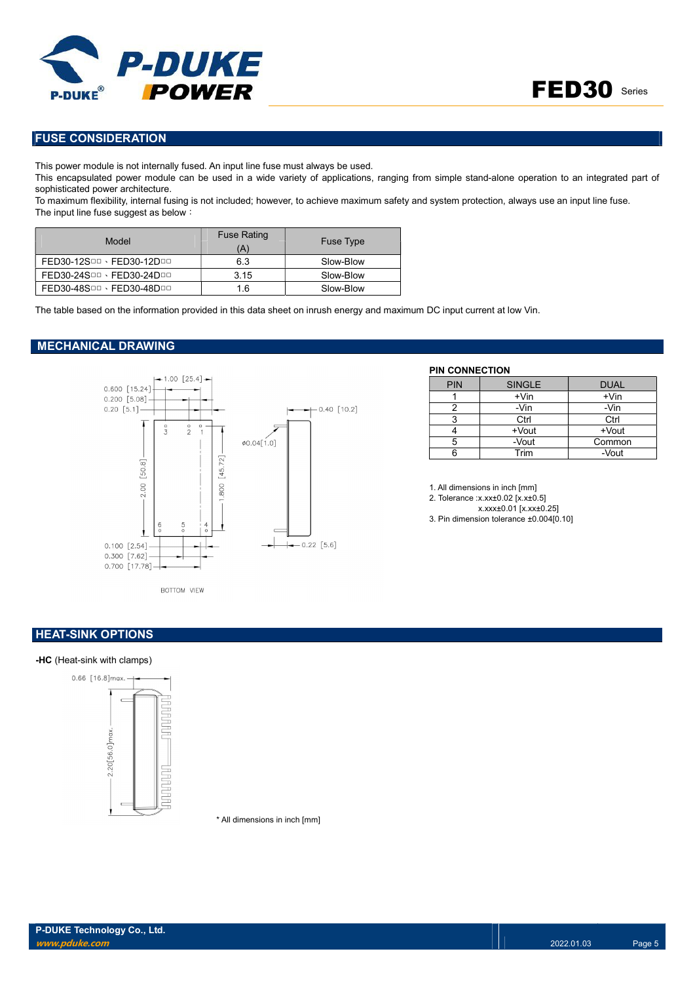



## FUSE CONSIDERATION

This power module is not internally fused. An input line fuse must always be used.

This encapsulated power module can be used in a wide variety of applications, ranging from simple stand-alone operation to an integrated part of sophisticated power architecture.

To maximum flexibility, internal fusing is not included; however, to achieve maximum safety and system protection, always use an input line fuse. The input line fuse suggest as below:

| Model                     | <b>Fuse Rating</b><br>(A) | <b>Fuse Type</b> |
|---------------------------|---------------------------|------------------|
| FED30-12SDD · FED30-12DDD | 6.3                       | Slow-Blow        |
| FED30-24SDD · FED30-24DDD | 3.15                      | Slow-Blow        |
| FED30-48SDD · FED30-48DDD | 1.6                       | Slow-Blow        |

The table based on the information provided in this data sheet on inrush energy and maximum DC input current at low Vin.

#### MECHANICAL DRAWING



#### PIN CONNECTION

| <b>PIN</b> | <b>SINGLE</b> | <b>DUAL</b> |
|------------|---------------|-------------|
|            | $+V$ in       | $+V$ in     |
|            | -Vin          | -Vin        |
| 2          | Ctrl          | Ctrl        |
|            | +Vout         | +Vout       |
| 5          | -Vout         | Common      |
|            | Trim          | -Vout       |

1. All dimensions in inch [mm]

2. Tolerance :x.xx±0.02 [x.x±0.5]

x.xxx±0.01 [x.xx±0.25] 3. Pin dimension tolerance ±0.004[0.10]

## **HEAT-SINK OPTIONS**

#### -HC (Heat-sink with clamps)



\* All dimensions in inch [mm]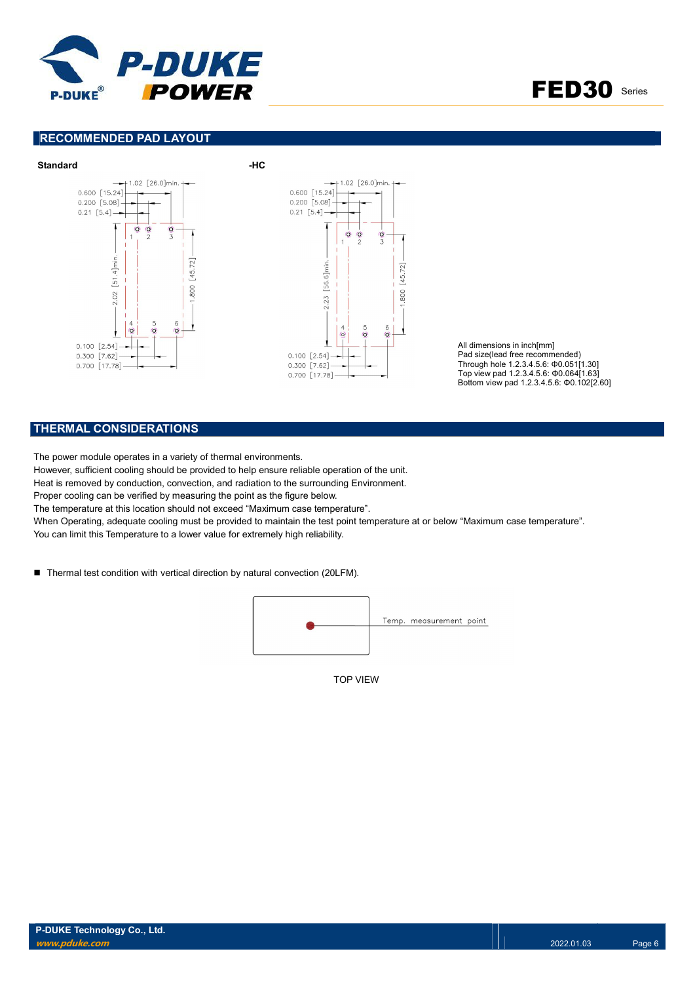

FED30 Series

## RECOMMENDED PAD LAYOUT



All dimensions in inch[mm] Pad size(lead free recommended) Through hole 1.2.3.4.5.6: Φ0.051[1.30] Top view pad 1.2.3.4.5.6: Φ0.064[1.63] Bottom view pad 1.2.3.4.5.6: Φ0.102[2.60]

## THERMAL CONSIDERATIONS

The power module operates in a variety of thermal environments.

However, sufficient cooling should be provided to help ensure reliable operation of the unit.

Heat is removed by conduction, convection, and radiation to the surrounding Environment.

Proper cooling can be verified by measuring the point as the figure below.

The temperature at this location should not exceed "Maximum case temperature".

When Operating, adequate cooling must be provided to maintain the test point temperature at or below "Maximum case temperature".

You can limit this Temperature to a lower value for extremely high reliability.

■ Thermal test condition with vertical direction by natural convection (20LFM).



TOP VIEW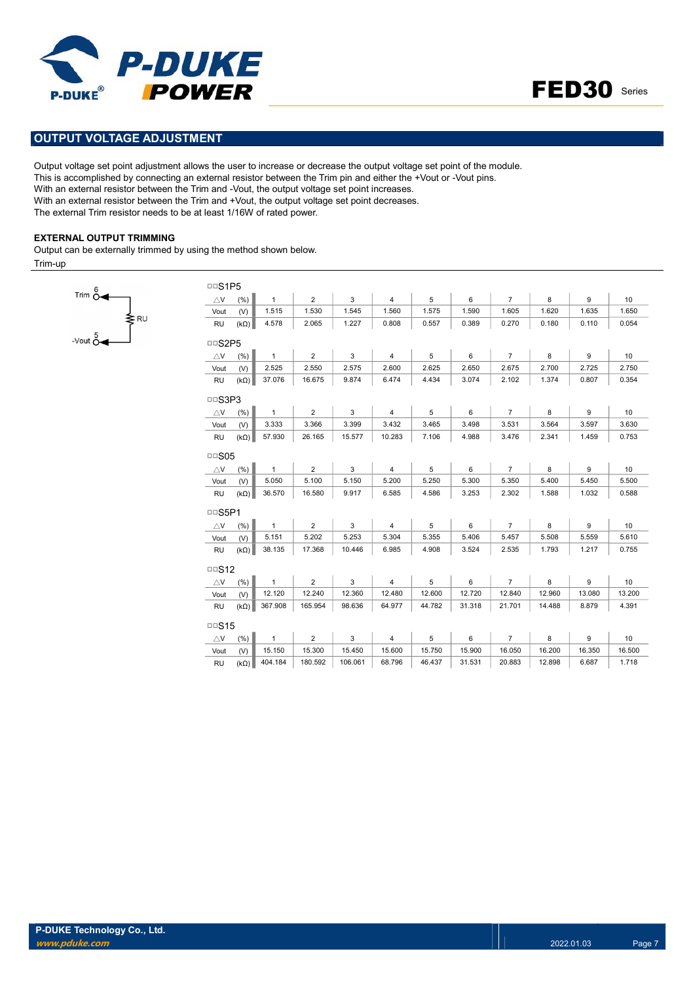



## OUTPUT VOLTAGE ADJUSTMENT

Output voltage set point adjustment allows the user to increase or decrease the output voltage set point of the module. This is accomplished by connecting an external resistor between the Trim pin and either the +Vout or -Vout pins. With an external resistor between the Trim and -Vout, the output voltage set point increases. With an external resistor between the Trim and +Vout, the output voltage set point decreases. The external Trim resistor needs to be at least 1/16W of rated power.

#### EXTERNAL OUTPUT TRIMMING

 $\frac{1}{\text{sec}^5}$ 

Trim  $\stackrel{6}{\sim}$ 

Output can be externally trimmed by using the method shown below.

Trim-up

| <b>DDS1P5</b> |             |              |                |              |                |            |        |                |        |        |        |
|---------------|-------------|--------------|----------------|--------------|----------------|------------|--------|----------------|--------|--------|--------|
| $\triangle$ V | (%)         | $\mathbf{1}$ | $\overline{2}$ | 3            | $\overline{4}$ | $\sqrt{5}$ | 6      | $\overline{7}$ | 8      | 9      | 10     |
| Vout          | (V)         | 1.515        | 1.530          | 1.545        | 1.560          | 1.575      | 1.590  | 1.605          | 1.620  | 1.635  | 1.650  |
| <b>RU</b>     | $(k\Omega)$ | 4.578        | 2.065          | 1.227        | 0.808          | 0.557      | 0.389  | 0.270          | 0.180  | 0.110  | 0.054  |
| <b>DOS2P5</b> |             |              |                |              |                |            |        |                |        |        |        |
| $\triangle$ V | (% )        | $\mathbf{1}$ | $\overline{2}$ | 3            | $\overline{4}$ | 5          | 6      | $\overline{7}$ | 8      | 9      | 10     |
| Vout          | (V)         | 2.525        | 2.550          | 2.575        | 2.600          | 2.625      | 2.650  | 2.675          | 2.700  | 2.725  | 2.750  |
| <b>RU</b>     | $(k\Omega)$ | 37.076       | 16.675         | 9.874        | 6.474          | 4.434      | 3.074  | 2.102          | 1.374  | 0.807  | 0.354  |
| <b>DDS3P3</b> |             |              |                |              |                |            |        |                |        |        |        |
| $\triangle$ V | (% )        | $\mathbf{1}$ | $\overline{2}$ | 3            | 4              | 5          | 6      | $\overline{7}$ | 8      | 9      | 10     |
| Vout          | (V)         | 3.333        | 3.366          | 3.399        | 3.432          | 3.465      | 3.498  | 3.531          | 3.564  | 3.597  | 3.630  |
| <b>RU</b>     | $(k\Omega)$ | 57.930       | 26.165         | 15.577       | 10.283         | 7.106      | 4.988  | 3.476          | 2.341  | 1.459  | 0.753  |
| $\Box$ SO5    |             |              |                |              |                |            |        |                |        |        |        |
| $\triangle$ V | (%)         | $\mathbf{1}$ | $\overline{2}$ | $\mathbf{3}$ | $\overline{4}$ | 5          | 6      | $\overline{7}$ | 8      | 9      | 10     |
| Vout          | (V)         | 5.050        | 5.100          | 5.150        | 5.200          | 5.250      | 5.300  | 5.350          | 5.400  | 5.450  | 5.500  |
| <b>RU</b>     | $(k\Omega)$ | 36.570       | 16.580         | 9.917        | 6.585          | 4.586      | 3.253  | 2.302          | 1.588  | 1.032  | 0.588  |
| <b>DDS5P1</b> |             |              |                |              |                |            |        |                |        |        |        |
| $\triangle$ V | (% )        | $\mathbf{1}$ | $\overline{2}$ | 3            | $\overline{4}$ | 5          | 6      | $\overline{7}$ | 8      | 9      | 10     |
| Vout          | (V)         | 5.151        | 5.202          | 5.253        | 5.304          | 5.355      | 5.406  | 5.457          | 5.508  | 5.559  | 5.610  |
| <b>RU</b>     | $(k\Omega)$ | 38.135       | 17.368         | 10.446       | 6.985          | 4.908      | 3.524  | 2.535          | 1.793  | 1.217  | 0.755  |
| $\Box$ S12    |             |              |                |              |                |            |        |                |        |        |        |
| $\triangle$ V | (%)         | $\mathbf{1}$ | $\overline{2}$ | 3            | 4              | 5          | 6      | $\overline{7}$ | 8      | 9      | 10     |
| Vout          | (V)         | 12.120       | 12.240         | 12.360       | 12.480         | 12.600     | 12.720 | 12.840         | 12.960 | 13.080 | 13.200 |
| <b>RU</b>     | $(k\Omega)$ | 367.908      | 165.954        | 98.636       | 64.977         | 44.782     | 31.318 | 21.701         | 14.488 | 8.879  | 4.391  |
| $\Box$ S15    |             |              |                |              |                |            |        |                |        |        |        |
| $\triangle$ V | (%)         | 1            | $\overline{2}$ | 3            | 4              | 5          | 6      | $\overline{7}$ | 8      | 9      | 10     |
| Vout          | (V)         | 15.150       | 15.300         | 15.450       | 15.600         | 15.750     | 15.900 | 16.050         | 16.200 | 16.350 | 16.500 |
| <b>RU</b>     | $(k\Omega)$ | 404.184      | 180.592        | 106.061      | 68.796         | 46.437     | 31.531 | 20.883         | 12.898 | 6.687  | 1.718  |